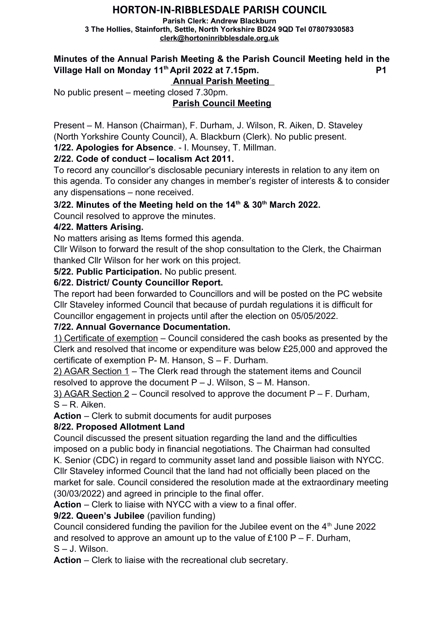# **HORTON-IN-RIBBLESDALE PARISH COUNCIL**

**Parish Clerk: Andrew Blackburn 3 The Hollies, Stainforth, Settle, North Yorkshire BD24 9QD Tel 07807930583 [clerk@hortoninribblesdale.org.uk](mailto:clerk@hortoninribblesdale.org.uk)**

# **Minutes of the Annual Parish Meeting & the Parish Council Meeting held in the Village Hall on Monday 11th April 2022 at 7.15pm. P1**

 **Annual Parish Meeting** 

No public present – meeting closed 7.30pm.

# **Parish Council Meeting**

Present – M. Hanson (Chairman), F. Durham, J. Wilson, R. Aiken, D. Staveley (North Yorkshire County Council), A. Blackburn (Clerk). No public present.

**1/22. Apologies for Absence**. - I. Mounsey, T. Millman.

## **2/22. Code of conduct – localism Act 2011.**

To record any councillor's disclosable pecuniary interests in relation to any item on this agenda. To consider any changes in member's register of interests & to consider any dispensations – none received.

### **3/22. Minutes of the Meeting held on the 14th & 30th March 2022.**

Council resolved to approve the minutes.

#### **4/22. Matters Arising.**

No matters arising as Items formed this agenda.

Cllr Wilson to forward the result of the shop consultation to the Clerk, the Chairman thanked Cllr Wilson for her work on this project.

**5/22. Public Participation.** No public present.

### **6/22. District/ County Councillor Report.**

The report had been forwarded to Councillors and will be posted on the PC website Cllr Staveley informed Council that because of purdah regulations it is difficult for Councillor engagement in projects until after the election on 05/05/2022.

### **7/22. Annual Governance Documentation.**

1) Certificate of exemption – Council considered the cash books as presented by the Clerk and resolved that income or expenditure was below £25,000 and approved the certificate of exemption P- M. Hanson, S – F. Durham.

2) AGAR Section 1 – The Clerk read through the statement items and Council resolved to approve the document  $P - J$ . Wilson,  $S - M$ . Hanson.

3) AGAR Section  $2$  – Council resolved to approve the document P – F. Durham, S – R. Aiken.

**Action** – Clerk to submit documents for audit purposes

### **8/22. Proposed Allotment Land**

Council discussed the present situation regarding the land and the difficulties imposed on a public body in financial negotiations. The Chairman had consulted K. Senior (CDC) in regard to community asset land and possible liaison with NYCC. Cllr Staveley informed Council that the land had not officially been placed on the market for sale. Council considered the resolution made at the extraordinary meeting

(30/03/2022) and agreed in principle to the final offer.

**Action** – Clerk to liaise with NYCC with a view to a final offer.

### **9/22. Queen's Jubilee** (pavilion funding)

Council considered funding the pavilion for the Jubilee event on the  $4<sup>th</sup>$  June 2022 and resolved to approve an amount up to the value of £100 P – F. Durham, S – J. Wilson.

**Action** – Clerk to liaise with the recreational club secretary.